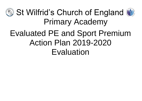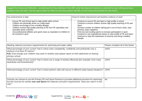Support for review and reflection - considering the 5 key indicators from DfE, what development needs are a priority for your setting and your students now and why? Use the space below to reflect on previous spend, identify current need and priorities for the future.

| Key achievements to date:                                                                                                                                                                                                                                                                                                                                               | Areas for further improvement and baseline evidence of need:                                                                                                                                                                                                                                                                                                                                                                                                                       |
|-------------------------------------------------------------------------------------------------------------------------------------------------------------------------------------------------------------------------------------------------------------------------------------------------------------------------------------------------------------------------|------------------------------------------------------------------------------------------------------------------------------------------------------------------------------------------------------------------------------------------------------------------------------------------------------------------------------------------------------------------------------------------------------------------------------------------------------------------------------------|
| Ensure PE and School sport is high profile within school<br>Children are physically active on a daily basis<br>Children encourage to live a healthy lifestyle<br>Children receive high quality teaching of PE from PE specialists and<br>specialist sports coaches.<br>Use professional athletes and sports stars as inspiration to children to<br>be involved in sport | Continue to ensure PE and Sport is high profile in school.<br>Continue to ensure children receive high quality teaching of PE and<br>Sport.<br>Increase number of children taking part in out of hours clubs. (see<br>previous years registers)<br>Find new and exciting sports to increase participation in sport.<br>Continue to use inspirational visitors to raise profile of PE and Sport.<br>Continue to raise the importance of exercise and living a healthy<br>lifestyle. |

| Meeting national curriculum requirements for swimming and water safety                                                                                                                                                                                            | Please complete all of the below: |
|-------------------------------------------------------------------------------------------------------------------------------------------------------------------------------------------------------------------------------------------------------------------|-----------------------------------|
| What percentage of your current Year 6 cohort swim competently, confidently and proficiently over a<br>distance of at least 25 metres?<br>N.B. Even though your children may swim in another year please report on their attainment on leaving<br>primary school. | 100%                              |
| What percentage of your current Year 6 cohort use a range of strokes effectively [for example, front crawl,<br>backstroke and breaststroke]?                                                                                                                      | 100%                              |
| What percentage of your current Year 6 cohort perform safe self-rescue in different water-based situations?                                                                                                                                                       | 100%                              |
| Schools can choose to use the Primary PE and Sport Premium to provide additional provision for swimming<br>but this must be for activity over and above the national curriculum requirements. Have you used it in this<br>way?                                    | <b>No</b>                         |



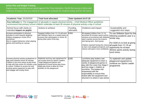## **Action Plan and Budget Tracking**

Capture your intended annual spend against the 5 key indicators. Clarify the success criteria and evidence of impact that you intend to measure to evaluate for students today and for the future.

| <b>Academic Year: 2019/2020</b>                                                                                                                                                                                                                                                                  | <b>Total fund allocated:</b>                                                                                                                                                                                               | Date Updated:10.07.20 |                                                                                                                                                                                                                                                                                                                                                            |                                                                                                                                                                                |
|--------------------------------------------------------------------------------------------------------------------------------------------------------------------------------------------------------------------------------------------------------------------------------------------------|----------------------------------------------------------------------------------------------------------------------------------------------------------------------------------------------------------------------------|-----------------------|------------------------------------------------------------------------------------------------------------------------------------------------------------------------------------------------------------------------------------------------------------------------------------------------------------------------------------------------------------|--------------------------------------------------------------------------------------------------------------------------------------------------------------------------------|
| Key indicator 1: The engagement of all pupils in regular physical activity – Chief Medical Officer guidelines<br>recommend that primary school children undertake at least 30 minutes of physical activity a day in school                                                                       |                                                                                                                                                                                                                            |                       |                                                                                                                                                                                                                                                                                                                                                            |                                                                                                                                                                                |
| School focus with clarity on<br>intended impact on pupils:                                                                                                                                                                                                                                       | Actions to achieve:                                                                                                                                                                                                        | Funding<br>allocated: | Evidence and impact:                                                                                                                                                                                                                                                                                                                                       | Sustainability and<br>suggested next steps:                                                                                                                                    |
| Increase participation in physical<br>activities to work towards targeting<br>children engaging in Active 30 at<br>lunchtimes.<br>Also to support behaviour when playing<br>games and working as a group.                                                                                        | Targeted children from Y1-Y4 will work E2800<br>with Skillwise Sport on a weekly basis to<br>increase their participation in Active 30<br>during other parts of the day.                                                   |                       | 96 targeted children from Y1-Y4<br>accessed 30 minutes sports activity<br>sessions at lunchtimes with Skillwise <sup>r Sim</sup> ilar way.<br>sport coaches across the Autumn<br>and Spring term. Each group<br>Children reported having the chance all pupils from Y1-Y6 an<br>to learn new playground games and<br>interact with peers more confidently. | To use Skillwise Sport for the<br>following academic year in a<br>For 2020-21 to look at giving<br>opportunity for at least<br>30 mins sports activity during<br>llunch times. |
| Increase physical activity at playtimes to<br>help work towards Active 30 minutes<br>Children to be more active at play times<br>to help with their active 30 minutes a day<br>in school. Children to access fun and<br>exciting sports equipment to play with<br>and engage with at play times. | Replenish and buy new equipment for<br>use at play times by Sports Leaders.<br>Target playground games and<br>equipment to boost active play times.<br>Adapt play times to allow for more<br>activities on the playground. | £200                  | unchtime play leaders had<br>adequate equipment to learn a<br>variety of playground games to<br>play with the Lower Key Stage 2<br>and Key stage 1 children at<br>lunchtime. The leaders felt<br>empowered with the<br>responsibility to ensure they<br>looked after the equipment and<br>returned it to where it was stored.                              | To replenish and update<br>playground equipment to<br>continue our Sports Leader<br>programme.                                                                                 |



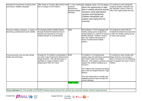| Promote the importance of being active<br>and living a 'Healthy Lifestyles'                                  | free of charge to KS2 children.                                                                                                                                                                      | sessions<br>delivered by<br>Inspiring healthy<br>lifestyles. | Offer 'Keep on moving' after school club  4 x 1 hour weekly   40 children from Y3-Y6 where<br>given the opportunity to take<br>part in weekly physical activity<br>sessions using specialised<br>coaches and equipment.<br>Children developed self<br>esteem and enjoyment for<br>lexercise.                                                                                                                                                                    | To continue to work alongside<br>Inspiring Healthy Lifestyles and<br>the Standish Leisure Centre to<br>offer more opportunities like this. |
|--------------------------------------------------------------------------------------------------------------|------------------------------------------------------------------------------------------------------------------------------------------------------------------------------------------------------|--------------------------------------------------------------|-----------------------------------------------------------------------------------------------------------------------------------------------------------------------------------------------------------------------------------------------------------------------------------------------------------------------------------------------------------------------------------------------------------------------------------------------------------------|--------------------------------------------------------------------------------------------------------------------------------------------|
| Promote 'Healthy Lifestyles' in relation of<br>becoming a professional sports athlete.                       | To arrange another Healthy Eating<br>through football development day to<br>help link the importance of living a<br>healthy lifestyle as a professional.                                             | £350                                                         | 150 children in Y5/Y6 engaged with<br>healthy eating sports programme<br>using football as a vehicle for living a<br>healthy lifestyle. Children created<br>their own healthy diet based on<br>those of professional football<br>players.                                                                                                                                                                                                                       | To continue to work with the<br>Football Development programme<br>to offer the healthy eating course<br>to future year groups.             |
| Promote growth mind set and mental<br>health and well-being.                                                 | Arrange for Y6 children to participate in<br>a 6 week Yoga Programme delivered by<br>Wigan Warriors. This will take place in<br>April/May to support children when<br>preparing for their SAT tests. | £450<br><b>Total: £3,800</b>                                 | 75 children in Y6 experienced<br>weekly yoga and well-being sessions Wigan Warriors and arrange a<br>with Claire Taylor from Wigan<br>Warriors. This helped to prepare and year to support next year's Year 6<br>support the children building up to<br>Y6 SATs.<br>The children also experienced taking<br>part in the first Wigan Warriors Yoga<br>festival.<br>This also linked with our health and<br>wellbeing themed days through the<br>school calendar. | To continue to work closely with<br>block of sessions for the following<br>children.                                                       |
| Key indicator 2: The profile of PESSPA being raised across the school as a tool for whole school improvement |                                                                                                                                                                                                      |                                                              |                                                                                                                                                                                                                                                                                                                                                                                                                                                                 |                                                                                                                                            |



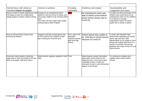| School focus with clarity on<br>intended impact on pupils:                                                                                                            | Actions to achieve:                                                                                                                                                                | Funding<br>allocated:                                                           | Evidence and impact:                                                                                                                                                                                        | Sustainability and<br>suggested next steps:                                                                                                                                                                                                                               |
|-----------------------------------------------------------------------------------------------------------------------------------------------------------------------|------------------------------------------------------------------------------------------------------------------------------------------------------------------------------------|---------------------------------------------------------------------------------|-------------------------------------------------------------------------------------------------------------------------------------------------------------------------------------------------------------|---------------------------------------------------------------------------------------------------------------------------------------------------------------------------------------------------------------------------------------------------------------------------|
| Famous Visitor to share experiences with Arrange for an inspirational sports<br>KS2 pupils as part of a collaborative<br>writing project to inspire creative writing. | athlete to visit the school to inspire and<br>encourage children to be involved within<br>sport.<br>The visitor will also inspire high quality<br>writing projects within English. | £500                                                                            | No Inspirational visitor was<br>able to attend school before<br>whole school closure due to<br>Covid-19.                                                                                                    | To seek out other past pupils of St<br>Wilfrid's who could return as an<br>inspirational visitor for the children.<br>To continue to arrange<br>inspirational visitors to inspire<br>pupils with a variety of sports.                                                     |
| Host an annual School Games Day<br>involving all children.                                                                                                            | Organise and plan school games day<br>for KS1 and for KS2 children to take<br>part in during the Summer term.                                                                      | Free-part of PE<br>Specialist<br>Teacher and link<br>with local high<br>school. | School Sports Day unable to<br>be held due to school closure<br>because of Covid-19.                                                                                                                        | To liaise with Standish High<br>School with supporting our school<br>sports day next year, with<br>opportunities for our pupils to have<br>young role models lead them in a<br>variety of activities and see the<br>potential next steps of their PE and<br>Sport journey |
| Prominent notice boards in both key<br>stage halls to raise the profile of PE and<br>Sport to all pupils, staff and visitors.                                         | Notice boards regularly updated in both Time<br>halls.                                                                                                                             |                                                                                 | Notice boards contain information<br>about after school clubs for the<br>following terms, intra school sport<br>challenge winners. Pupils are<br>enthused to want to see themselves<br>appear on the board. | To continue to maintain and<br>update notice boards within<br>school.                                                                                                                                                                                                     |



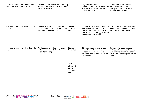| Sports events and achievements are<br>celebrated through social media                     | Twitter used to celebrate recent sporting Time<br>events. It also used to share curriculum<br>PE lesson activities. |                                                                              | Regular retweets and likes<br>demonstrating the wider community<br>is aware of provisions within school<br>land achievements.                                                                     | To continue to use twitter to<br>celebrate achievements,<br>participation at sporting events<br>with the wider community. |
|-------------------------------------------------------------------------------------------|---------------------------------------------------------------------------------------------------------------------|------------------------------------------------------------------------------|---------------------------------------------------------------------------------------------------------------------------------------------------------------------------------------------------|---------------------------------------------------------------------------------------------------------------------------|
| Continue to keep Intra School Sport High Produce St Wilfrid's own Intra Sport<br>Profile. | certificates to be awarded at the end of<br>each Intra Sport Challenge.                                             | Card for<br>certificates<br>Cost - £50                                       | Children who won awards during our<br>intra school challenges received<br>their certificates in celebration of<br>their achievement during half-termly<br>sports celebration worships.            | To continue to provide certificates<br>for the children after an Intra Sport<br>comp has been completed.                  |
| Continue to keep Intra School Sport High Purchase new school games values<br>Profile.     | stickers to be presented in Intra sport<br>celebration worship.                                                     | Stickers-<br>Cost - £80<br>Total<br>planned:<br>£650<br>Total spent:<br>£130 | Stickers were purchased for school<br>sports days and intra sport<br>competitions but were unused due to achievements in our Intra School<br>the school closure during the covid-<br>19 lockdown. | Seek out other opportunities to<br>continue to keep the celebration of<br>Sports Competition high across the<br>school.   |



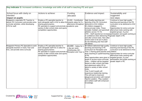| Key indicator 3: Increased confidence, knowledge and skills of all staff in teaching PE and sport                                              |                                                                                                                                                                                                                                                                   |                                                              |                                                                                                                                                                                                                                                                                                                                                                                                                                                                                                                                                                                                                                                                                                                |                                                                                                                                                                                                                                                                                                         |
|------------------------------------------------------------------------------------------------------------------------------------------------|-------------------------------------------------------------------------------------------------------------------------------------------------------------------------------------------------------------------------------------------------------------------|--------------------------------------------------------------|----------------------------------------------------------------------------------------------------------------------------------------------------------------------------------------------------------------------------------------------------------------------------------------------------------------------------------------------------------------------------------------------------------------------------------------------------------------------------------------------------------------------------------------------------------------------------------------------------------------------------------------------------------------------------------------------------------------|---------------------------------------------------------------------------------------------------------------------------------------------------------------------------------------------------------------------------------------------------------------------------------------------------------|
|                                                                                                                                                |                                                                                                                                                                                                                                                                   |                                                              |                                                                                                                                                                                                                                                                                                                                                                                                                                                                                                                                                                                                                                                                                                                |                                                                                                                                                                                                                                                                                                         |
| School focus with clarity on<br>intended<br>impact on pupils:                                                                                  | Actions to achieve:                                                                                                                                                                                                                                               | Funding<br>allocated:                                        | Evidence and impact:                                                                                                                                                                                                                                                                                                                                                                                                                                                                                                                                                                                                                                                                                           | Sustainability and<br>suggested<br>next steps:                                                                                                                                                                                                                                                          |
| Reappoint a specialist PE Teacher to<br>deliver PE Curriculum and provide extra-<br>curricular activities, whilst developing<br>CPD for staff. | Employ a PE specialist teacher to<br>work alongside staff in KS2 to allow for towards salary for 5 x<br>sharing good practice.<br>PE specialist to support and promote a academic year.<br>variety of after school clubs and sports<br>competition opportunities. | £5,000 - Contribution<br>afternoons throughout               | High Quality teaching and<br>learning of the PE Curriculum<br>delivered to KS2 children.<br>85 children engaged in<br>extracurricular clubs. These<br>included, football, and sportshall<br>athletics across Y4-Y6.<br>in confidence when delivering PE greater depth in PE.<br>and after school clubs. New after<br>school clubs to be put in place<br>for the following year that staff<br>will deliver.                                                                                                                                                                                                                                                                                                     | Continue to have high quality<br>teaching and learning of the PE<br>curriculum to be delivered to KS2<br>children.<br>Opportunities for extra-curricular<br>afterschool clubs working with<br>targeted groups. E.g low<br>$\text{CPD}$ – Staff reported an increase participation and pupils working at |
| Reappoint Primary PE Specialist to work<br>alongside teachers in Early Year and<br>KS1, and provide extra-curricular                           | Employ a PE specialist teacher to<br>work alongside staff KS1 to allow for<br>sharing good practice.<br>PE specialist to support and promote a Reception and Year 1)<br>variety of after school clubs and sports<br>competition opportunities.                    | $£8,000 -$ Salary for 1<br>x day per week<br>(Wednesday AM - | Mr Willock delivered high quality<br>teaching and learning in PE<br>Curriculum for Reception and<br>Year 1 sharing good practise and children.<br>team teaching to upskill teaching Opportunities for extra-curricular<br>of PE.<br>More opportunities were given to targeted groups. E.g low<br>pupils to access extra-curricular<br>clubs - children will be targeted<br>based on after school club data<br>and attainment within PE to<br>attend a variety of after school<br>clubs.<br>Year 5 and 6 pupils will<br>experience leadership training.<br>This will lead to improved<br>playground provision with trained<br>'Sports Leaders', 'Play Leaders'<br>and welfare staff with enhanced<br>knowledge. | Continue to have high quality<br>teaching and learning of the PE<br>curriculum to be delivered to KS2<br>afterschool clubs working with<br>participation and pupils working at<br>greater depth in PE.                                                                                                  |

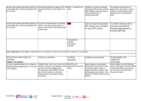| Access high quality specialist coaching in<br>a specialist sport, whilst developing CPD<br>for our staff  | Find opportunities for support in PE for £300 - 6 weeks First<br>Nursery and Early Years delivery for<br>CPD                                                                                                                                                                     | touch                                              | Children in nursery accessed<br>specialized PE lessons working<br>with Skillwise sport to develop<br>early development of<br>fundamental skills.                                                                    | To arrange another block of<br>sessions for next year's nursery<br>children to help develop early<br>development of fundamental<br>lskills.                 |
|-----------------------------------------------------------------------------------------------------------|----------------------------------------------------------------------------------------------------------------------------------------------------------------------------------------------------------------------------------------------------------------------------------|----------------------------------------------------|---------------------------------------------------------------------------------------------------------------------------------------------------------------------------------------------------------------------|-------------------------------------------------------------------------------------------------------------------------------------------------------------|
| Access high quality specialist coaching in<br>a specialist sport, whilst developing CPD<br>for our staff. | To seek out opportunities to develop<br>CPD in new and exciting sports to<br>deliver in curriculum time and as after<br>school clubs.                                                                                                                                            | 200                                                | Due to Covid 19 lockdown<br>this money was not spent<br>on any CPD course.                                                                                                                                          | To roll the money over to<br>next year and look for<br>training opportunities to<br>provide staff with.                                                     |
|                                                                                                           |                                                                                                                                                                                                                                                                                  | Total planned<br>£13,500<br>Total spent<br>£13,300 |                                                                                                                                                                                                                     |                                                                                                                                                             |
| Key indicator 4: Broader experience of a range of sports and activities offered to all pupils             |                                                                                                                                                                                                                                                                                  |                                                    |                                                                                                                                                                                                                     |                                                                                                                                                             |
| School focus with clarity on<br>lintended<br>impact on pupils:                                            | Actions to achieve:                                                                                                                                                                                                                                                              | Funding<br>allocated:                              | Evidence and impact:                                                                                                                                                                                                | Sustainability and<br>suggested<br>next steps:                                                                                                              |
| Access opportunities for a Sports<br>leadership programme for Y5 and<br>Y6 children.                      | Children from Year 5 and Year 6 to be FREE Part of<br>trained as Sports Lead leaders to work Specialist PE teacher<br>on KS1 and LKS2 playgrounds.<br>PE Specialist Keith Willock to lead<br>after school sessions to develop<br>young leaders and support during<br>lunchtimes. | salary                                             | Sports leaders to developed<br>leadership and teamwork skills<br>by working within a team to<br>support lunchtime welfare staff<br>with playground activities. (see<br>register of children attended and<br>photos) | Sports leaders for the following<br>year to work again with Mr Willock<br>to develop delivery programme<br>for KS1 and LKS2 play times<br>through the week. |



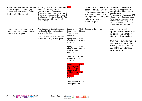| Access high quality specialist coaching in<br>a specialist sport and encouraging<br>participation outside of school, whilst<br>developing CPD for our staff. | The school to affiliate with Lancashire  <br>County Cricket Club accessing<br>'Chance to Shine' Programme:<br>6 weeks curriculum teaching to Year 6<br>6 weeks extra-curricular club to Year 5<br>2 full days of Intra Competition for KS2<br>Organisation of KS2 Intra School<br>Competitions. | £500                                                                                                                                                                                                                                                                                                                                                                                                                                                                                                               | Due to the school closure<br>because of Covid-19, these<br>activities were unable to go<br>ahead as planned. The<br>arrangement with LCC will<br>roll over to the next<br>academic year. | To arrange another block of<br>sessions for children to gain<br>specialised teaching towards a<br>specific sport.<br>To continue to help develop CPD<br>of staff when delivering this sport.<br>To again allow opportunities for<br>children to become engaged in a<br>new sport and go on to support<br>local teams within the area. |
|--------------------------------------------------------------------------------------------------------------------------------------------------------------|-------------------------------------------------------------------------------------------------------------------------------------------------------------------------------------------------------------------------------------------------------------------------------------------------|--------------------------------------------------------------------------------------------------------------------------------------------------------------------------------------------------------------------------------------------------------------------------------------------------------------------------------------------------------------------------------------------------------------------------------------------------------------------------------------------------------------------|------------------------------------------------------------------------------------------------------------------------------------------------------------------------------------------|---------------------------------------------------------------------------------------------------------------------------------------------------------------------------------------------------------------------------------------------------------------------------------------------------------------------------------------|
| Increase pupil participation in out of<br>school hours clubs, through specialist<br>coaching of exotic sports.                                               | Provide opportunities to increase the<br>number of children participating in<br>after school clubs.<br>Pupils will be inspired to get involved<br>in new and exciting 'exotic' sports.                                                                                                          | Spring term $1 - Y5/6$<br>Keep on Movin' Fitness<br>Club 4x 1 hour<br>sessions<br>Spring term 1 - Y3/4<br>Handball club 5x1 hour<br>sessions<br>Spring term $2 - Y3/4$<br>Keep on Movin' Fitness<br>Club 5x 1 hour<br>sessions<br>Spring term $2 - Y5/6$<br>Handball club 5x1 hour<br>sessions<br>Summer term - 10x 1<br>hour sessions of<br><b>Ultimate Frisbee</b><br>coaching to KS2<br>children delivered by<br><b>Inspiring Health</b><br>Lifestyles<br>COST:<br>Total allocated- £1,000<br>Total spent: £400 | See sports club registers                                                                                                                                                                | Continue to provide<br>opportunities for children to<br>participate in a variety of<br>after school sports clubs.<br>Continue to develop working<br>relationship with Inspiring<br>Healthy Lifestyles and the<br>use of the new Standish<br>eisure Centre.                                                                            |



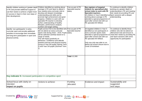| Identify children working at 'greater depth<br>in PE and provide additional support to<br>suit their needs to achieve a higher level<br>of success in Sport in their next steps of<br>their development. | Children identified as working above<br>average in PE and Sport to attend 1<br>hour weekly extra-curricular club to<br>develop and deepen knowledge,<br>understanding and skills and to<br>promote high achievement and good<br>progress. Children to work with our<br>specialist PE teacher to develop<br>further understanding of healthy<br>lifestyles, performance analysis,<br>nutrition and target setting.   | Free as part of PE<br>Specialist teacher<br>salary. | See registers of targeted<br>children for specialised after<br>school clubs to work with PE<br>Specialist teachers.<br>16 children in Year 6 identified as Sport sessions with a deeper<br>working above average in PE<br>attended a special programme of<br>sport after school club with our<br>PE specialist Mr Willock. | To continue to identify children<br>working at a greater depth of<br>understanding in PE and meeting<br>their needs by providing PE and<br>understanding.                                               |
|----------------------------------------------------------------------------------------------------------------------------------------------------------------------------------------------------------|---------------------------------------------------------------------------------------------------------------------------------------------------------------------------------------------------------------------------------------------------------------------------------------------------------------------------------------------------------------------------------------------------------------------|-----------------------------------------------------|----------------------------------------------------------------------------------------------------------------------------------------------------------------------------------------------------------------------------------------------------------------------------------------------------------------------------|---------------------------------------------------------------------------------------------------------------------------------------------------------------------------------------------------------|
| Identify 'non-participants' in extra-<br>curricular sport and provide additional<br>activities to encourage their immediate<br>and long term participation in sport and<br>physical activity.            | Pupils across KS2 to be identified who Free as part of PE<br>did not attend an extra-curricular<br>sports club during $2018 - 2019$ . Pupils salary.<br>will be selected carefully based on a<br>range of needs.<br>This will impact positively on<br>behaviour, confidence and attitude<br>towards exercise and physical activity.<br>Group of Year 5/6 pupils (Spring Term<br>2) and Year 3/4 pupils (Summer Term | Specialist teacher                                  | 16 targeted children in Year 5<br>identified as non-participants in<br>extra curricular sports clubs<br>attended a special programme of<br>sport after school club with our<br>PE specialist Mr Willock.<br>Only one club was able to run<br>before full school closure due to<br>Covid 19 lockdown                        | To continue to identify those<br>children who did not attend an<br>afterschool club and ensure to<br>meet their needs by providing PE<br>and Sport sessions with some<br>opportunity for participation. |
| Key indicator 5: Increased participation in competitive sport                                                                                                                                            |                                                                                                                                                                                                                                                                                                                                                                                                                     | Total: £1,500                                       |                                                                                                                                                                                                                                                                                                                            |                                                                                                                                                                                                         |
|                                                                                                                                                                                                          |                                                                                                                                                                                                                                                                                                                                                                                                                     |                                                     |                                                                                                                                                                                                                                                                                                                            |                                                                                                                                                                                                         |
| School focus with clarity on<br>lintended<br>impact on pupils:                                                                                                                                           | Actions to achieve:                                                                                                                                                                                                                                                                                                                                                                                                 | Funding<br>allocated:                               | Evidence and impact:                                                                                                                                                                                                                                                                                                       | Sustainability and<br>suggested<br>next steps:                                                                                                                                                          |



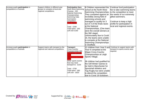| Increase pupils participation in<br>competitions or festivals | Support children in different year<br>groups to compete at local and<br>regional competitions. | <b>Participation fees:</b><br>North West Swimming<br>Champs - £40<br>National Swimming<br>Championships<br>Swimming Gala<br>Gymnastics<br>competition<br><b>Town Sports</b><br>Total - £200<br>Total spent - £40<br>Left over £160                         | 8 Children represented the<br>school at the North West<br>Swimming Championships.<br>They competed against an<br>incredibly strong field of<br>swimming schools and<br>managed to qualify for 3<br>out of 4 of the finals races<br>lat the National<br>Championships. (One team)<br>were the overall winners at<br>the NW stage)<br>Unfortunately due to Covid<br>19, the teams were unable<br>to compete at the National<br>Swimming Championships<br>in Sheffield. | Continue fund participation<br>fee to take swimming teams<br>to the competition to meet<br>the needs of our extremely<br>qifted swimmers.<br>Continue to keep a high<br>profile for participation in<br>local and regional events. |
|---------------------------------------------------------------|------------------------------------------------------------------------------------------------|------------------------------------------------------------------------------------------------------------------------------------------------------------------------------------------------------------------------------------------------------------|----------------------------------------------------------------------------------------------------------------------------------------------------------------------------------------------------------------------------------------------------------------------------------------------------------------------------------------------------------------------------------------------------------------------------------------------------------------------|------------------------------------------------------------------------------------------------------------------------------------------------------------------------------------------------------------------------------------|
| Increase pupils participation in<br>competitions or festivals | Support teams with transport to the<br>regional and national competitions.                     | Transport:<br><b>Cross Country</b><br>Championships £80<br><b>GM Winter Games</b><br>£200<br><b>GM Summer Games</b><br><b>2200</b><br>Other sports events<br>that may need<br>transport to - £220<br>Total - £700<br>Total spent - £80<br>Left over - £620 | 12 children from Year 5 and Continue to support teams with<br>Year 6 competed at the<br><b>Wigan Cross Country</b><br>Championships at Leigh<br>Sports Village.<br>38 children had qualified for<br>the GM Winter Games to<br>be held in Manchester for<br>Sportshall Athletics and<br>Tag Rugby but were unable<br>to attend the competition<br>due to Covid 19 lockdown.                                                                                           | transport to sports events were<br>required.                                                                                                                                                                                       |